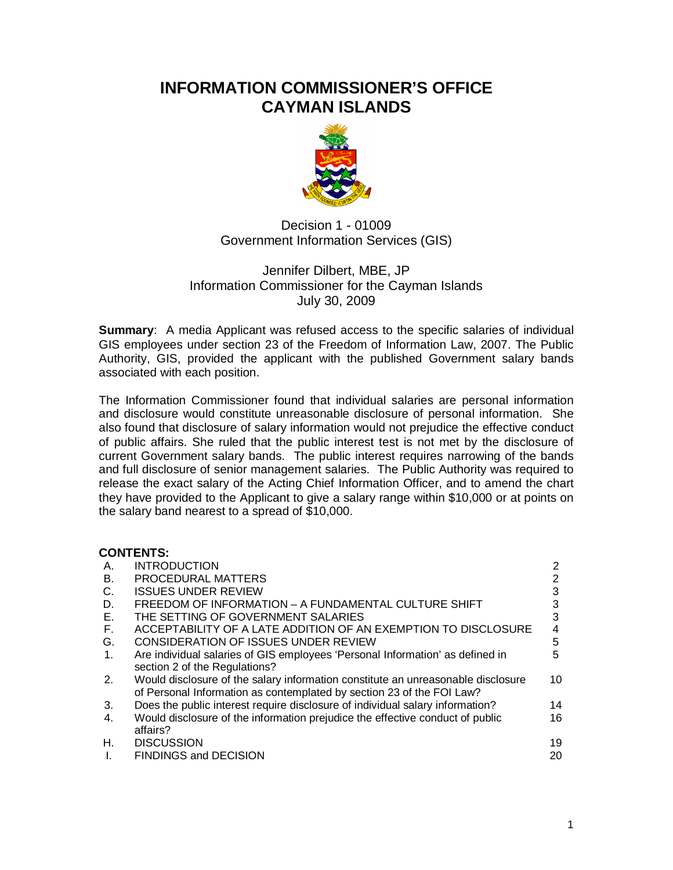# **INFORMATION COMMISSIONER'S OFFICE CAYMAN ISLANDS**



Decision 1 - 01009 Government Information Services (GIS)

### Jennifer Dilbert, MBE, JP Information Commissioner for the Cayman Islands July 30, 2009

**Summary:** A media Applicant was refused access to the specific salaries of individual GIS employees under section 23 of the Freedom of Information Law, 2007. The Public Authority, GIS, provided the applicant with the published Government salary bands associated with each position.

The Information Commissioner found that individual salaries are personal information and disclosure would constitute unreasonable disclosure of personal information. She also found that disclosure of salary information would not prejudice the effective conduct of public affairs. She ruled that the public interest test is not met by the disclosure of current Government salary bands. The public interest requires narrowing of the bands and full disclosure of senior management salaries. The Public Authority was required to release the exact salary of the Acting Chief Information Officer, and to amend the chart they have provided to the Applicant to give a salary range within \$10,000 or at points on the salary band nearest to a spread of \$10,000.

#### **CONTENTS:**

| Α.          | <b>INTRODUCTION</b>                                                                                                                                       | 2  |
|-------------|-----------------------------------------------------------------------------------------------------------------------------------------------------------|----|
| <b>B.</b>   | PROCEDURAL MATTERS                                                                                                                                        | 2  |
| C.          | <b>ISSUES UNDER REVIEW</b>                                                                                                                                | 3  |
| D.          | FREEDOM OF INFORMATION - A FUNDAMENTAL CULTURE SHIFT                                                                                                      |    |
| E.          | THE SETTING OF GOVERNMENT SALARIES                                                                                                                        | 3  |
| F.          | ACCEPTABILITY OF A LATE ADDITION OF AN EXEMPTION TO DISCLOSURE                                                                                            | 4  |
| G.          | <b>CONSIDERATION OF ISSUES UNDER REVIEW</b>                                                                                                               | 5  |
| $1_{\cdot}$ | Are individual salaries of GIS employees 'Personal Information' as defined in<br>section 2 of the Regulations?                                            | 5  |
| 2.          | Would disclosure of the salary information constitute an unreasonable disclosure<br>of Personal Information as contemplated by section 23 of the FOI Law? | 10 |
| 3.          | Does the public interest require disclosure of individual salary information?                                                                             | 14 |
| 4.          | Would disclosure of the information prejudice the effective conduct of public<br>affairs?                                                                 | 16 |
| Н.          | <b>DISCUSSION</b>                                                                                                                                         | 19 |
| Ι.          | <b>FINDINGS and DECISION</b>                                                                                                                              | 20 |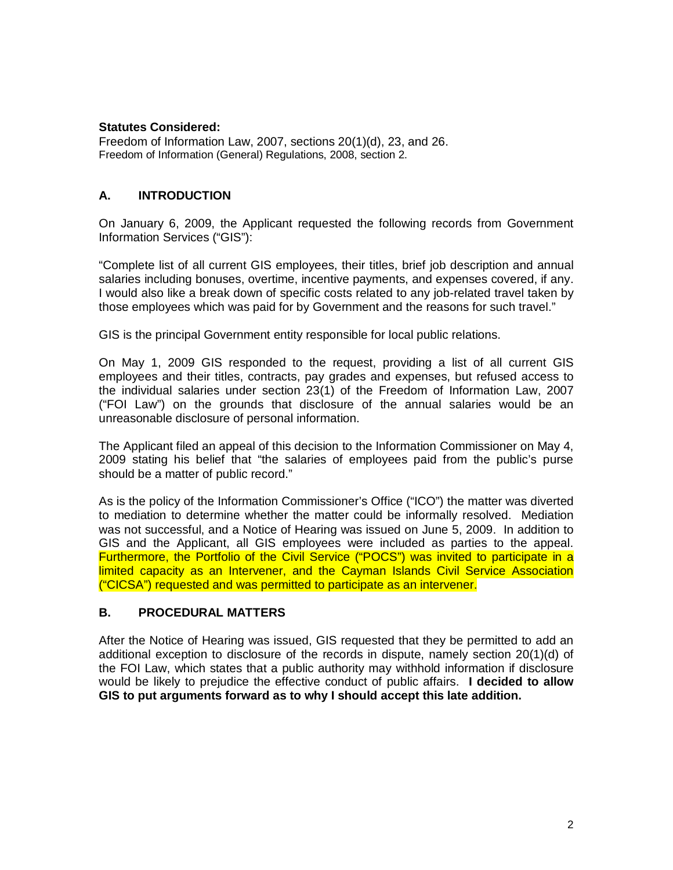#### **Statutes Considered:**

Freedom of Information Law, 2007, sections 20(1)(d), 23, and 26. Freedom of Information (General) Regulations, 2008, section 2.

### **A. INTRODUCTION**

On January 6, 2009, the Applicant requested the following records from Government Information Services ("GIS"):

"Complete list of all current GIS employees, their titles, brief job description and annual salaries including bonuses, overtime, incentive payments, and expenses covered, if any. I would also like a break down of specific costs related to any job-related travel taken by those employees which was paid for by Government and the reasons for such travel."

GIS is the principal Government entity responsible for local public relations.

On May 1, 2009 GIS responded to the request, providing a list of all current GIS employees and their titles, contracts, pay grades and expenses, but refused access to the individual salaries under section 23(1) of the Freedom of Information Law, 2007 ("FOI Law") on the grounds that disclosure of the annual salaries would be an unreasonable disclosure of personal information.

The Applicant filed an appeal of this decision to the Information Commissioner on May 4, 2009 stating his belief that "the salaries of employees paid from the public's purse should be a matter of public record."

As is the policy of the Information Commissioner's Office ("ICO") the matter was diverted to mediation to determine whether the matter could be informally resolved. Mediation was not successful, and a Notice of Hearing was issued on June 5, 2009. In addition to GIS and the Applicant, all GIS employees were included as parties to the appeal. Furthermore, the Portfolio of the Civil Service ("POCS") was invited to participate in a limited capacity as an Intervener, and the Cayman Islands Civil Service Association ("CICSA") requested and was permitted to participate as an intervener.

#### **B. PROCEDURAL MATTERS**

After the Notice of Hearing was issued, GIS requested that they be permitted to add an additional exception to disclosure of the records in dispute, namely section 20(1)(d) of the FOI Law, which states that a public authority may withhold information if disclosure would be likely to prejudice the effective conduct of public affairs. **I decided to allow GIS to put arguments forward as to why I should accept this late addition.**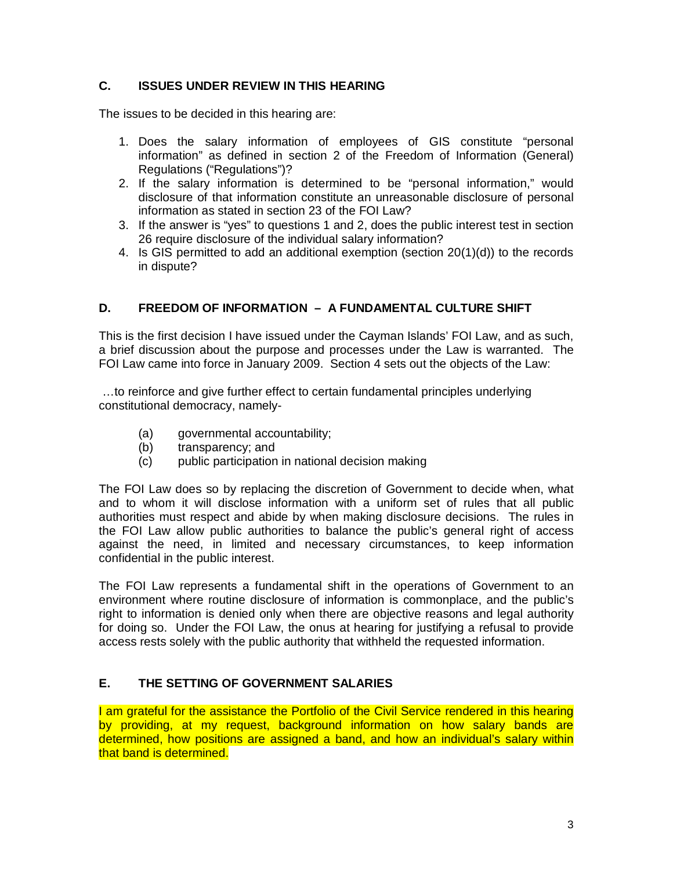### **C. ISSUES UNDER REVIEW IN THIS HEARING**

The issues to be decided in this hearing are:

- 1. Does the salary information of employees of GIS constitute "personal information" as defined in section 2 of the Freedom of Information (General) Regulations ("Regulations")?
- 2. If the salary information is determined to be "personal information," would disclosure of that information constitute an unreasonable disclosure of personal information as stated in section 23 of the FOI Law?
- 3. If the answer is "yes" to questions 1 and 2, does the public interest test in section 26 require disclosure of the individual salary information?
- 4. Is GIS permitted to add an additional exemption (section 20(1)(d)) to the records in dispute?

### **D. FREEDOM OF INFORMATION – A FUNDAMENTAL CULTURE SHIFT**

This is the first decision I have issued under the Cayman Islands' FOI Law, and as such, a brief discussion about the purpose and processes under the Law is warranted. The FOI Law came into force in January 2009. Section 4 sets out the objects of the Law:

…to reinforce and give further effect to certain fundamental principles underlying constitutional democracy, namely-

- (a) governmental accountability;
- (b) transparency; and
- (c) public participation in national decision making

The FOI Law does so by replacing the discretion of Government to decide when, what and to whom it will disclose information with a uniform set of rules that all public authorities must respect and abide by when making disclosure decisions. The rules in the FOI Law allow public authorities to balance the public's general right of access against the need, in limited and necessary circumstances, to keep information confidential in the public interest.

The FOI Law represents a fundamental shift in the operations of Government to an environment where routine disclosure of information is commonplace, and the public's right to information is denied only when there are objective reasons and legal authority for doing so. Under the FOI Law, the onus at hearing for justifying a refusal to provide access rests solely with the public authority that withheld the requested information.

### **E. THE SETTING OF GOVERNMENT SALARIES**

I am grateful for the assistance the Portfolio of the Civil Service rendered in this hearing by providing, at my request, background information on how salary bands are determined, how positions are assigned a band, and how an individual's salary within that band is determined.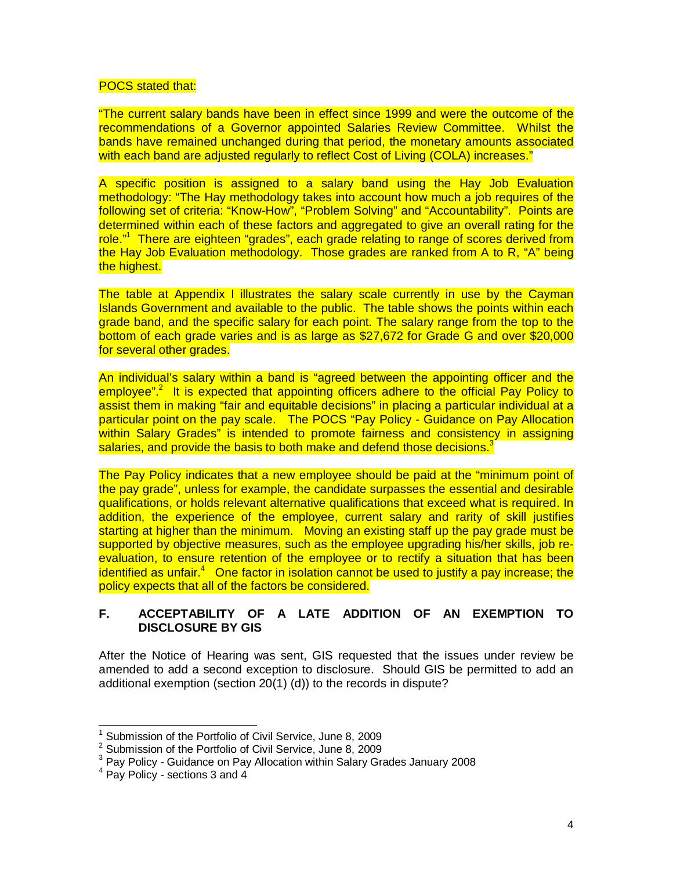#### POCS stated that:

"The current salary bands have been in effect since 1999 and were the outcome of the recommendations of a Governor appointed Salaries Review Committee. Whilst the bands have remained unchanged during that period, the monetary amounts associated with each band are adjusted regularly to reflect Cost of Living (COLA) increases."

A specific position is assigned to a salary band using the Hay Job Evaluation methodology: "The Hay methodology takes into account how much a job requires of the following set of criteria: "Know-How", "Problem Solving" and "Accountability". Points are determined within each of these factors and aggregated to give an overall rating for the role."<sup>1</sup> There are eighteen "grades", each grade relating to range of scores derived from the Hay Job Evaluation methodology. Those grades are ranked from A to R, "A" being the highest.

The table at Appendix I illustrates the salary scale currently in use by the Cayman Islands Government and available to the public. The table shows the points within each grade band, and the specific salary for each point. The salary range from the top to the bottom of each grade varies and is as large as \$27,672 for Grade G and over \$20,000 for several other grades.

An individual's salary within a band is "agreed between the appointing officer and the employee".<sup>2</sup> It is expected that appointing officers adhere to the official Pay Policy to assist them in making "fair and equitable decisions" in placing a particular individual at a particular point on the pay scale. The POCS "Pay Policy - Guidance on Pay Allocation within Salary Grades" is intended to promote fairness and consistency in assigning salaries, and provide the basis to both make and defend those decisions.<sup>3</sup>

The Pay Policy indicates that a new employee should be paid at the "minimum point of the pay grade", unless for example, the candidate surpasses the essential and desirable qualifications, or holds relevant alternative qualifications that exceed what is required. In addition, the experience of the employee, current salary and rarity of skill justifies starting at higher than the minimum. Moving an existing staff up the pay grade must be supported by objective measures, such as the employee upgrading his/her skills, job reevaluation, to ensure retention of the employee or to rectify a situation that has been identified as unfair.<sup>4</sup> One factor in isolation cannot be used to justify a pay increase; the policy expects that all of the factors be considered.

#### **F. ACCEPTABILITY OF A LATE ADDITION OF AN EXEMPTION TO DISCLOSURE BY GIS**

After the Notice of Hearing was sent, GIS requested that the issues under review be amended to add a second exception to disclosure. Should GIS be permitted to add an additional exemption (section 20(1) (d)) to the records in dispute?

 $\overline{\phantom{a}}$ 

<sup>1</sup> Submission of the Portfolio of Civil Service, June 8, 2009

<sup>2</sup> Submission of the Portfolio of Civil Service, June 8, 2009

<sup>&</sup>lt;sup>3</sup> Pay Policy - Guidance on Pay Allocation within Salary Grades January 2008

<sup>4</sup> Pay Policy - sections 3 and 4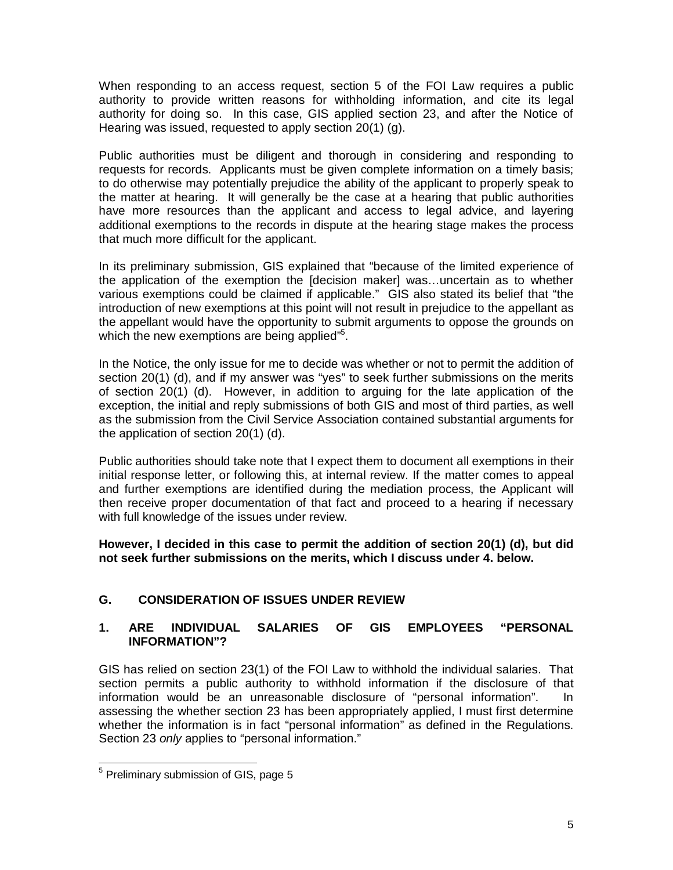When responding to an access request, section 5 of the FOI Law requires a public authority to provide written reasons for withholding information, and cite its legal authority for doing so. In this case, GIS applied section 23, and after the Notice of Hearing was issued, requested to apply section 20(1) (g).

Public authorities must be diligent and thorough in considering and responding to requests for records. Applicants must be given complete information on a timely basis; to do otherwise may potentially prejudice the ability of the applicant to properly speak to the matter at hearing. It will generally be the case at a hearing that public authorities have more resources than the applicant and access to legal advice, and layering additional exemptions to the records in dispute at the hearing stage makes the process that much more difficult for the applicant.

In its preliminary submission, GIS explained that "because of the limited experience of the application of the exemption the [decision maker] was…uncertain as to whether various exemptions could be claimed if applicable." GIS also stated its belief that "the introduction of new exemptions at this point will not result in prejudice to the appellant as the appellant would have the opportunity to submit arguments to oppose the grounds on which the new exemptions are being applied"<sup>5</sup>.

In the Notice, the only issue for me to decide was whether or not to permit the addition of section 20(1) (d), and if my answer was "yes" to seek further submissions on the merits of section 20(1) (d). However, in addition to arguing for the late application of the exception, the initial and reply submissions of both GIS and most of third parties, as well as the submission from the Civil Service Association contained substantial arguments for the application of section 20(1) (d).

Public authorities should take note that I expect them to document all exemptions in their initial response letter, or following this, at internal review. If the matter comes to appeal and further exemptions are identified during the mediation process, the Applicant will then receive proper documentation of that fact and proceed to a hearing if necessary with full knowledge of the issues under review.

**However, I decided in this case to permit the addition of section 20(1) (d), but did not seek further submissions on the merits, which I discuss under 4. below.**

# **G. CONSIDERATION OF ISSUES UNDER REVIEW**

### **1. ARE INDIVIDUAL SALARIES OF GIS EMPLOYEES "PERSONAL INFORMATION"?**

GIS has relied on section 23(1) of the FOI Law to withhold the individual salaries. That section permits a public authority to withhold information if the disclosure of that information would be an unreasonable disclosure of "personal information". In assessing the whether section 23 has been appropriately applied, I must first determine whether the information is in fact "personal information" as defined in the Regulations. Section 23 *only* applies to "personal information."

 $\overline{a}$ <sup>5</sup> Preliminary submission of GIS, page 5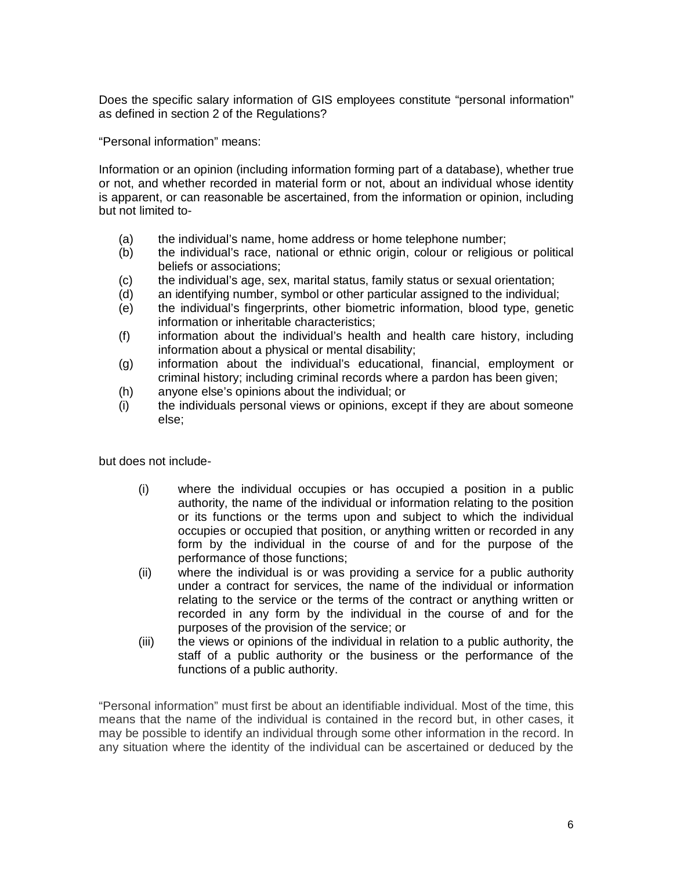Does the specific salary information of GIS employees constitute "personal information" as defined in section 2 of the Regulations?

"Personal information" means:

Information or an opinion (including information forming part of a database), whether true or not, and whether recorded in material form or not, about an individual whose identity is apparent, or can reasonable be ascertained, from the information or opinion, including but not limited to-

- (a) the individual's name, home address or home telephone number;
- (b) the individual's race, national or ethnic origin, colour or religious or political beliefs or associations;
- (c) the individual's age, sex, marital status, family status or sexual orientation;
- (d) an identifying number, symbol or other particular assigned to the individual;
- (e) the individual's fingerprints, other biometric information, blood type, genetic information or inheritable characteristics;
- (f) information about the individual's health and health care history, including information about a physical or mental disability;
- (g) information about the individual's educational, financial, employment or criminal history; including criminal records where a pardon has been given;
- (h) anyone else's opinions about the individual; or
- (i) the individuals personal views or opinions, except if they are about someone else;

but does not include-

- (i) where the individual occupies or has occupied a position in a public authority, the name of the individual or information relating to the position or its functions or the terms upon and subject to which the individual occupies or occupied that position, or anything written or recorded in any form by the individual in the course of and for the purpose of the performance of those functions;
- (ii) where the individual is or was providing a service for a public authority under a contract for services, the name of the individual or information relating to the service or the terms of the contract or anything written or recorded in any form by the individual in the course of and for the purposes of the provision of the service; or
- (iii) the views or opinions of the individual in relation to a public authority, the staff of a public authority or the business or the performance of the functions of a public authority.

"Personal information" must first be about an identifiable individual. Most of the time, this means that the name of the individual is contained in the record but, in other cases, it may be possible to identify an individual through some other information in the record. In any situation where the identity of the individual can be ascertained or deduced by the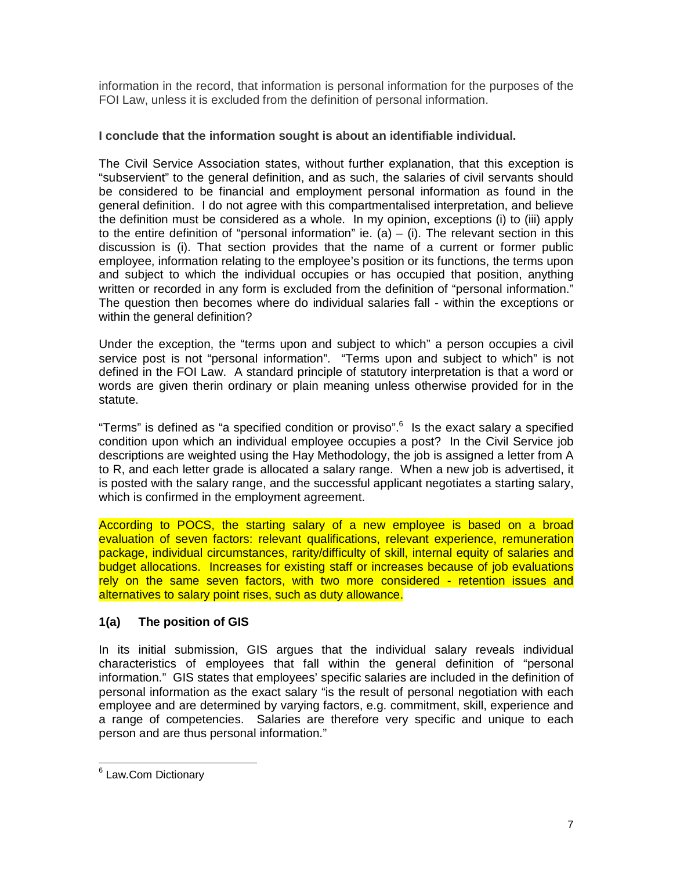information in the record, that information is personal information for the purposes of the FOI Law, unless it is excluded from the definition of personal information.

### **I conclude that the information sought is about an identifiable individual.**

The Civil Service Association states, without further explanation, that this exception is "subservient" to the general definition, and as such, the salaries of civil servants should be considered to be financial and employment personal information as found in the general definition. I do not agree with this compartmentalised interpretation, and believe the definition must be considered as a whole. In my opinion, exceptions (i) to (iii) apply to the entire definition of "personal information" ie. (a)  $-$  (i). The relevant section in this discussion is (i). That section provides that the name of a current or former public employee, information relating to the employee's position or its functions, the terms upon and subject to which the individual occupies or has occupied that position, anything written or recorded in any form is excluded from the definition of "personal information." The question then becomes where do individual salaries fall - within the exceptions or within the general definition?

Under the exception, the "terms upon and subject to which" a person occupies a civil service post is not "personal information". "Terms upon and subject to which" is not defined in the FOI Law. A standard principle of statutory interpretation is that a word or words are given therin ordinary or plain meaning unless otherwise provided for in the statute.

"Terms" is defined as "a specified condition or proviso".<sup>6</sup> Is the exact salary a specified condition upon which an individual employee occupies a post? In the Civil Service job descriptions are weighted using the Hay Methodology, the job is assigned a letter from A to R, and each letter grade is allocated a salary range. When a new job is advertised, it is posted with the salary range, and the successful applicant negotiates a starting salary, which is confirmed in the employment agreement.

According to POCS, the starting salary of a new employee is based on a broad evaluation of seven factors: relevant qualifications, relevant experience, remuneration package, individual circumstances, rarity/difficulty of skill, internal equity of salaries and budget allocations. Increases for existing staff or increases because of job evaluations rely on the same seven factors, with two more considered - retention issues and alternatives to salary point rises, such as duty allowance.

### **1(a) The position of GIS**

In its initial submission, GIS argues that the individual salary reveals individual characteristics of employees that fall within the general definition of "personal information." GIS states that employees' specific salaries are included in the definition of personal information as the exact salary "is the result of personal negotiation with each employee and are determined by varying factors, e.g. commitment, skill, experience and a range of competencies. Salaries are therefore very specific and unique to each person and are thus personal information."

<sup>&</sup>lt;u>e</u><br>Extending Dictionary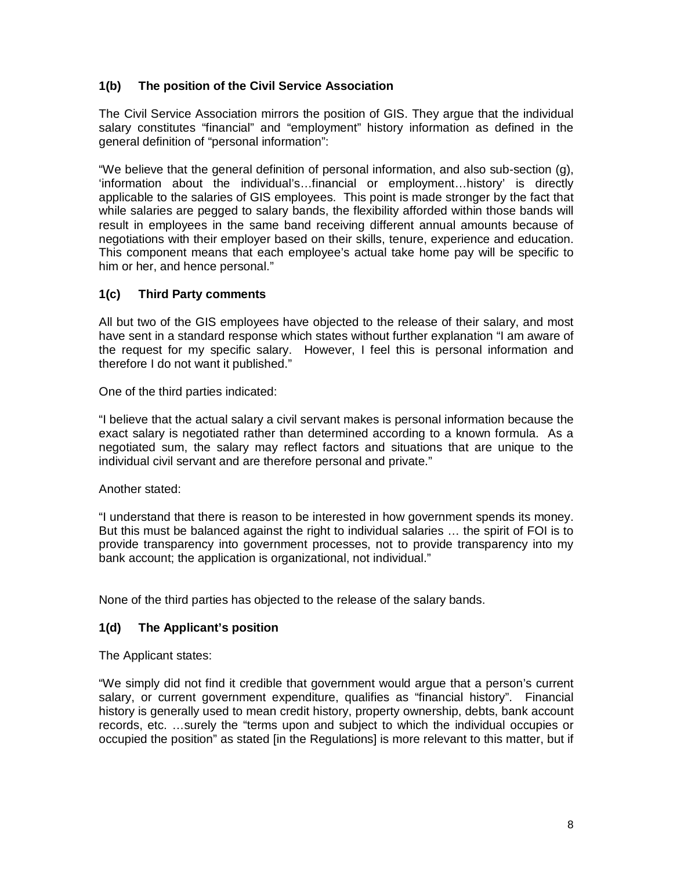### **1(b) The position of the Civil Service Association**

The Civil Service Association mirrors the position of GIS. They argue that the individual salary constitutes "financial" and "employment" history information as defined in the general definition of "personal information":

"We believe that the general definition of personal information, and also sub-section (g), 'information about the individual's…financial or employment…history' is directly applicable to the salaries of GIS employees. This point is made stronger by the fact that while salaries are pegged to salary bands, the flexibility afforded within those bands will result in employees in the same band receiving different annual amounts because of negotiations with their employer based on their skills, tenure, experience and education. This component means that each employee's actual take home pay will be specific to him or her, and hence personal."

### **1(c) Third Party comments**

All but two of the GIS employees have objected to the release of their salary, and most have sent in a standard response which states without further explanation "I am aware of the request for my specific salary. However, I feel this is personal information and therefore I do not want it published."

One of the third parties indicated:

"I believe that the actual salary a civil servant makes is personal information because the exact salary is negotiated rather than determined according to a known formula. As a negotiated sum, the salary may reflect factors and situations that are unique to the individual civil servant and are therefore personal and private."

Another stated:

"I understand that there is reason to be interested in how government spends its money. But this must be balanced against the right to individual salaries … the spirit of FOI is to provide transparency into government processes, not to provide transparency into my bank account; the application is organizational, not individual."

None of the third parties has objected to the release of the salary bands.

#### **1(d) The Applicant's position**

The Applicant states:

"We simply did not find it credible that government would argue that a person's current salary, or current government expenditure, qualifies as "financial history". Financial history is generally used to mean credit history, property ownership, debts, bank account records, etc. …surely the "terms upon and subject to which the individual occupies or occupied the position" as stated [in the Regulations] is more relevant to this matter, but if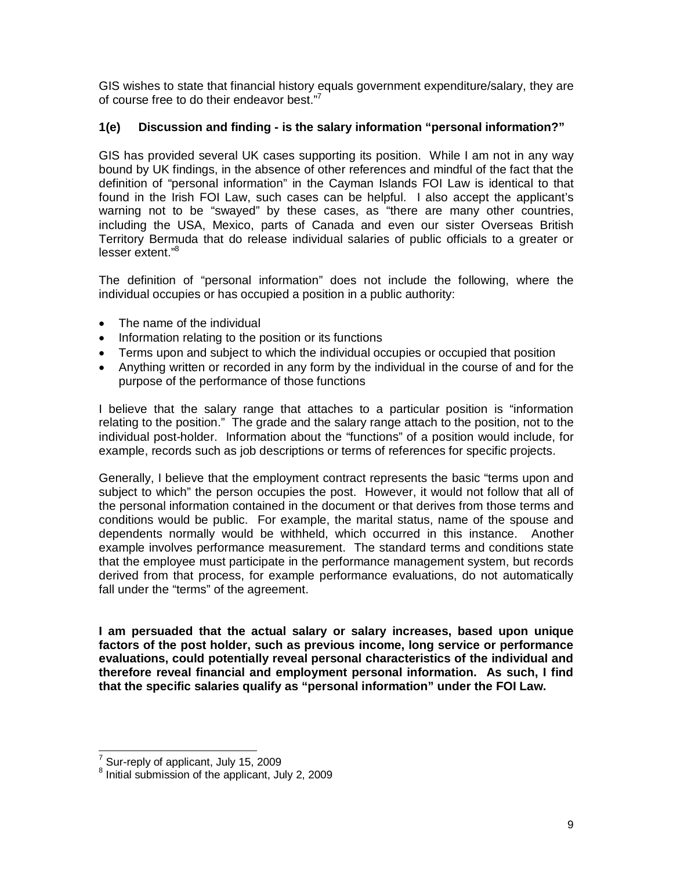GIS wishes to state that financial history equals government expenditure/salary, they are of course free to do their endeavor best."<sup>7</sup>

### **1(e) Discussion and finding - is the salary information "personal information?"**

GIS has provided several UK cases supporting its position. While I am not in any way bound by UK findings, in the absence of other references and mindful of the fact that the definition of "personal information" in the Cayman Islands FOI Law is identical to that found in the Irish FOI Law, such cases can be helpful. I also accept the applicant's warning not to be "swayed" by these cases, as "there are many other countries, including the USA, Mexico, parts of Canada and even our sister Overseas British Territory Bermuda that do release individual salaries of public officials to a greater or lesser extent."<sup>8</sup>

The definition of "personal information" does not include the following, where the individual occupies or has occupied a position in a public authority:

- The name of the individual
- Information relating to the position or its functions
- Terms upon and subject to which the individual occupies or occupied that position
- Anything written or recorded in any form by the individual in the course of and for the purpose of the performance of those functions

I believe that the salary range that attaches to a particular position is "information relating to the position." The grade and the salary range attach to the position, not to the individual post-holder. Information about the "functions" of a position would include, for example, records such as job descriptions or terms of references for specific projects.

Generally, I believe that the employment contract represents the basic "terms upon and subject to which" the person occupies the post. However, it would not follow that all of the personal information contained in the document or that derives from those terms and conditions would be public. For example, the marital status, name of the spouse and dependents normally would be withheld, which occurred in this instance. Another example involves performance measurement. The standard terms and conditions state that the employee must participate in the performance management system, but records derived from that process, for example performance evaluations, do not automatically fall under the "terms" of the agreement.

**I am persuaded that the actual salary or salary increases, based upon unique factors of the post holder, such as previous income, long service or performance evaluations, could potentially reveal personal characteristics of the individual and therefore reveal financial and employment personal information. As such, I find that the specific salaries qualify as "personal information" under the FOI Law.**

<sup>-</sup> $\frac{7}{1}$  Sur-reply of applicant, July 15, 2009

<sup>&</sup>lt;sup>8</sup> Initial submission of the applicant, July 2, 2009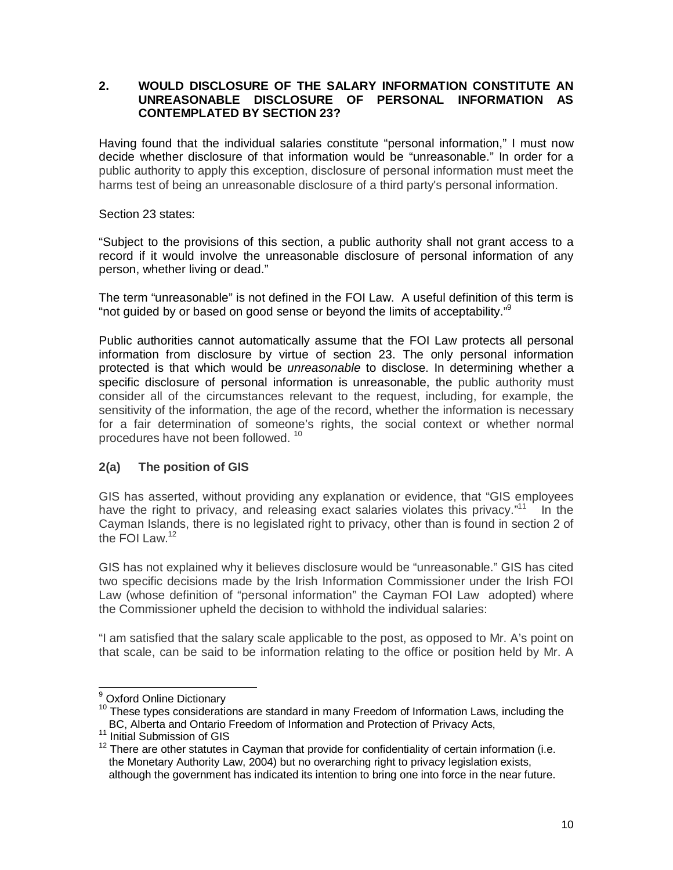#### **2. WOULD DISCLOSURE OF THE SALARY INFORMATION CONSTITUTE AN UNREASONABLE DISCLOSURE OF PERSONAL INFORMATION AS CONTEMPLATED BY SECTION 23?**

Having found that the individual salaries constitute "personal information," I must now decide whether disclosure of that information would be "unreasonable." In order for a public authority to apply this exception, disclosure of personal information must meet the harms test of being an unreasonable disclosure of a third party's personal information.

Section 23 states:

"Subject to the provisions of this section, a public authority shall not grant access to a record if it would involve the unreasonable disclosure of personal information of any person, whether living or dead."

The term "unreasonable" is not defined in the FOI Law. A useful definition of this term is "not guided by or based on good sense or beyond the limits of acceptability."<sup>9</sup>

Public authorities cannot automatically assume that the FOI Law protects all personal information from disclosure by virtue of section 23. The only personal information protected is that which would be *unreasonable* to disclose. In determining whether a specific disclosure of personal information is unreasonable, the public authority must consider all of the circumstances relevant to the request, including, for example, the sensitivity of the information, the age of the record, whether the information is necessary for a fair determination of someone's rights, the social context or whether normal procedures have not been followed. <sup>10</sup>

#### **2(a) The position of GIS**

GIS has asserted, without providing any explanation or evidence, that "GIS employees have the right to privacy, and releasing exact salaries violates this privacy."<sup>11</sup> In the Cayman Islands, there is no legislated right to privacy, other than is found in section 2 of the FOI Law. $12$ 

GIS has not explained why it believes disclosure would be "unreasonable." GIS has cited two specific decisions made by the Irish Information Commissioner under the Irish FOI Law (whose definition of "personal information" the Cayman FOI Law adopted) where the Commissioner upheld the decision to withhold the individual salaries:

"I am satisfied that the salary scale applicable to the post, as opposed to Mr. A's point on that scale, can be said to be information relating to the office or position held by Mr. A

j <sup>9</sup> Oxford Online Dictionary

<sup>&</sup>lt;sup>10</sup> These types considerations are standard in many Freedom of Information Laws, including the BC, Alberta and Ontario Freedom of Information and Protection of Privacy Acts,

<sup>&</sup>lt;sup>11</sup> Initial Submission of GIS

 $12$  There are other statutes in Cayman that provide for confidentiality of certain information (i.e. the Monetary Authority Law, 2004) but no overarching right to privacy legislation exists, although the government has indicated its intention to bring one into force in the near future.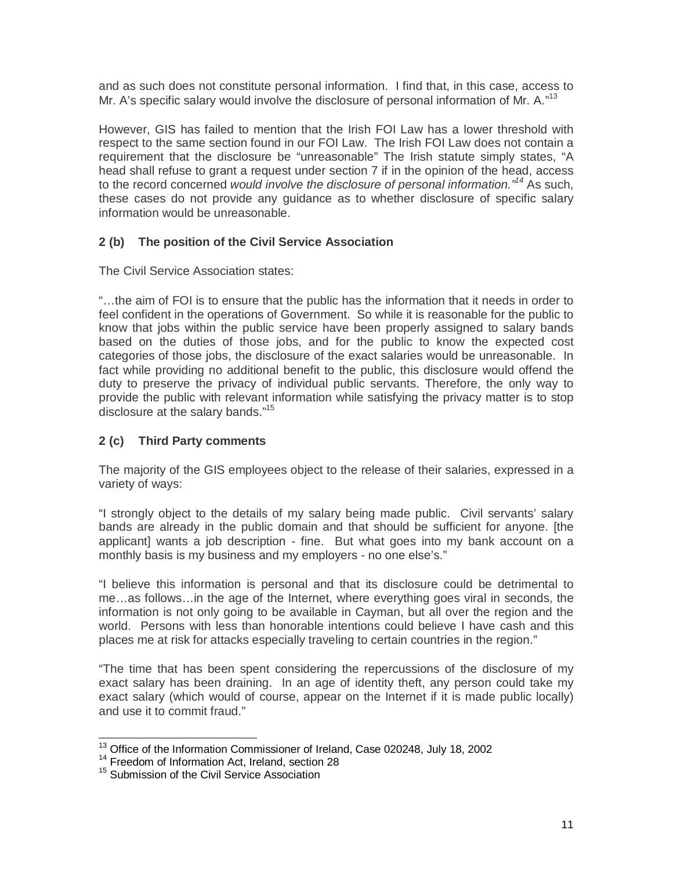and as such does not constitute personal information. I find that, in this case, access to Mr. A's specific salary would involve the disclosure of personal information of Mr. A.<sup>"13</sup>

However, GIS has failed to mention that the Irish FOI Law has a lower threshold with respect to the same section found in our FOI Law. The Irish FOI Law does not contain a requirement that the disclosure be "unreasonable" The Irish statute simply states, "A head shall refuse to grant a request under section 7 if in the opinion of the head, access to the record concerned *would involve the disclosure of personal information."<sup>14</sup>* As such, these cases do not provide any guidance as to whether disclosure of specific salary information would be unreasonable.

### **2 (b) The position of the Civil Service Association**

The Civil Service Association states:

"…the aim of FOI is to ensure that the public has the information that it needs in order to feel confident in the operations of Government. So while it is reasonable for the public to know that jobs within the public service have been properly assigned to salary bands based on the duties of those jobs, and for the public to know the expected cost categories of those jobs, the disclosure of the exact salaries would be unreasonable. In fact while providing no additional benefit to the public, this disclosure would offend the duty to preserve the privacy of individual public servants. Therefore, the only way to provide the public with relevant information while satisfying the privacy matter is to stop disclosure at the salary bands."<sup>15</sup>

#### **2 (c) Third Party comments**

The majority of the GIS employees object to the release of their salaries, expressed in a variety of ways:

"I strongly object to the details of my salary being made public. Civil servants' salary bands are already in the public domain and that should be sufficient for anyone. [the applicant] wants a job description - fine. But what goes into my bank account on a monthly basis is my business and my employers - no one else's."

"I believe this information is personal and that its disclosure could be detrimental to me…as follows…in the age of the Internet, where everything goes viral in seconds, the information is not only going to be available in Cayman, but all over the region and the world. Persons with less than honorable intentions could believe I have cash and this places me at risk for attacks especially traveling to certain countries in the region."

"The time that has been spent considering the repercussions of the disclosure of my exact salary has been draining. In an age of identity theft, any person could take my exact salary (which would of course, appear on the Internet if it is made public locally) and use it to commit fraud."

 $\overline{a}$  $13$  Office of the Information Commissioner of Ireland, Case 020248, July 18, 2002

<sup>&</sup>lt;sup>14</sup> Freedom of Information Act, Ireland, section 28

<sup>&</sup>lt;sup>15</sup> Submission of the Civil Service Association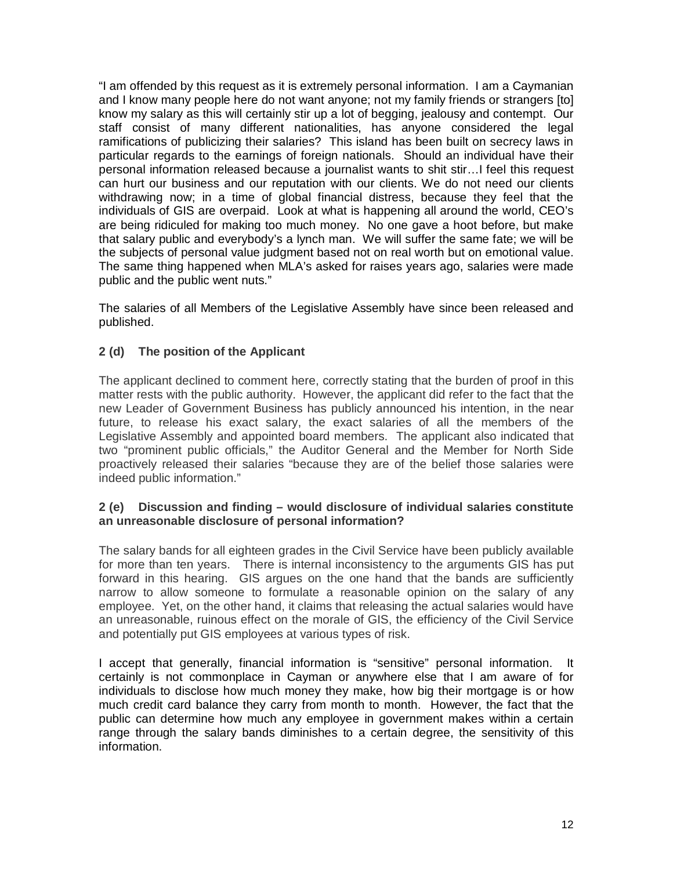"I am offended by this request as it is extremely personal information. I am a Caymanian and I know many people here do not want anyone; not my family friends or strangers [to] know my salary as this will certainly stir up a lot of begging, jealousy and contempt. Our staff consist of many different nationalities, has anyone considered the legal ramifications of publicizing their salaries? This island has been built on secrecy laws in particular regards to the earnings of foreign nationals. Should an individual have their personal information released because a journalist wants to shit stir…I feel this request can hurt our business and our reputation with our clients. We do not need our clients withdrawing now; in a time of global financial distress, because they feel that the individuals of GIS are overpaid. Look at what is happening all around the world, CEO's are being ridiculed for making too much money. No one gave a hoot before, but make that salary public and everybody's a lynch man. We will suffer the same fate; we will be the subjects of personal value judgment based not on real worth but on emotional value. The same thing happened when MLA's asked for raises years ago, salaries were made public and the public went nuts."

The salaries of all Members of the Legislative Assembly have since been released and published.

### **2 (d) The position of the Applicant**

The applicant declined to comment here, correctly stating that the burden of proof in this matter rests with the public authority. However, the applicant did refer to the fact that the new Leader of Government Business has publicly announced his intention, in the near future, to release his exact salary, the exact salaries of all the members of the Legislative Assembly and appointed board members. The applicant also indicated that two "prominent public officials," the Auditor General and the Member for North Side proactively released their salaries "because they are of the belief those salaries were indeed public information."

#### **2 (e) Discussion and finding – would disclosure of individual salaries constitute an unreasonable disclosure of personal information?**

The salary bands for all eighteen grades in the Civil Service have been publicly available for more than ten years. There is internal inconsistency to the arguments GIS has put forward in this hearing. GIS argues on the one hand that the bands are sufficiently narrow to allow someone to formulate a reasonable opinion on the salary of any employee. Yet, on the other hand, it claims that releasing the actual salaries would have an unreasonable, ruinous effect on the morale of GIS, the efficiency of the Civil Service and potentially put GIS employees at various types of risk.

I accept that generally, financial information is "sensitive" personal information. It certainly is not commonplace in Cayman or anywhere else that I am aware of for individuals to disclose how much money they make, how big their mortgage is or how much credit card balance they carry from month to month. However, the fact that the public can determine how much any employee in government makes within a certain range through the salary bands diminishes to a certain degree, the sensitivity of this information.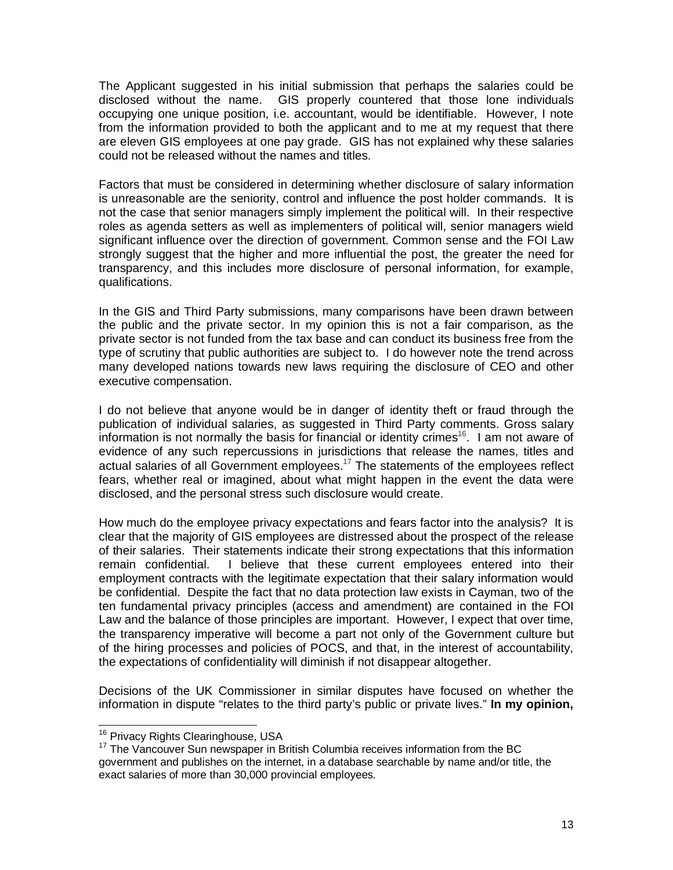The Applicant suggested in his initial submission that perhaps the salaries could be disclosed without the name. GIS properly countered that those lone individuals occupying one unique position, i.e. accountant, would be identifiable. However, I note from the information provided to both the applicant and to me at my request that there are eleven GIS employees at one pay grade. GIS has not explained why these salaries could not be released without the names and titles.

Factors that must be considered in determining whether disclosure of salary information is unreasonable are the seniority, control and influence the post holder commands. It is not the case that senior managers simply implement the political will. In their respective roles as agenda setters as well as implementers of political will, senior managers wield significant influence over the direction of government. Common sense and the FOI Law strongly suggest that the higher and more influential the post, the greater the need for transparency, and this includes more disclosure of personal information, for example, qualifications.

In the GIS and Third Party submissions, many comparisons have been drawn between the public and the private sector. In my opinion this is not a fair comparison, as the private sector is not funded from the tax base and can conduct its business free from the type of scrutiny that public authorities are subject to. I do however note the trend across many developed nations towards new laws requiring the disclosure of CEO and other executive compensation.

I do not believe that anyone would be in danger of identity theft or fraud through the publication of individual salaries, as suggested in Third Party comments. Gross salary information is not normally the basis for financial or identity crimes<sup>16</sup>. I am not aware of evidence of any such repercussions in jurisdictions that release the names, titles and actual salaries of all Government employees.<sup>17</sup> The statements of the employees reflect fears, whether real or imagined, about what might happen in the event the data were disclosed, and the personal stress such disclosure would create.

How much do the employee privacy expectations and fears factor into the analysis? It is clear that the majority of GIS employees are distressed about the prospect of the release of their salaries. Their statements indicate their strong expectations that this information remain confidential. I believe that these current employees entered into their employment contracts with the legitimate expectation that their salary information would be confidential. Despite the fact that no data protection law exists in Cayman, two of the ten fundamental privacy principles (access and amendment) are contained in the FOI Law and the balance of those principles are important. However, I expect that over time, the transparency imperative will become a part not only of the Government culture but of the hiring processes and policies of POCS, and that, in the interest of accountability, the expectations of confidentiality will diminish if not disappear altogether.

Decisions of the UK Commissioner in similar disputes have focused on whether the information in dispute "relates to the third party's public or private lives." **In my opinion,** 

 $\overline{\phantom{a}}$ <sup>16</sup> Privacy Rights Clearinghouse, USA

 $17$  The Vancouver Sun newspaper in British Columbia receives information from the BC government and publishes on the internet, in a database searchable by name and/or title, the exact salaries of more than 30,000 provincial employees.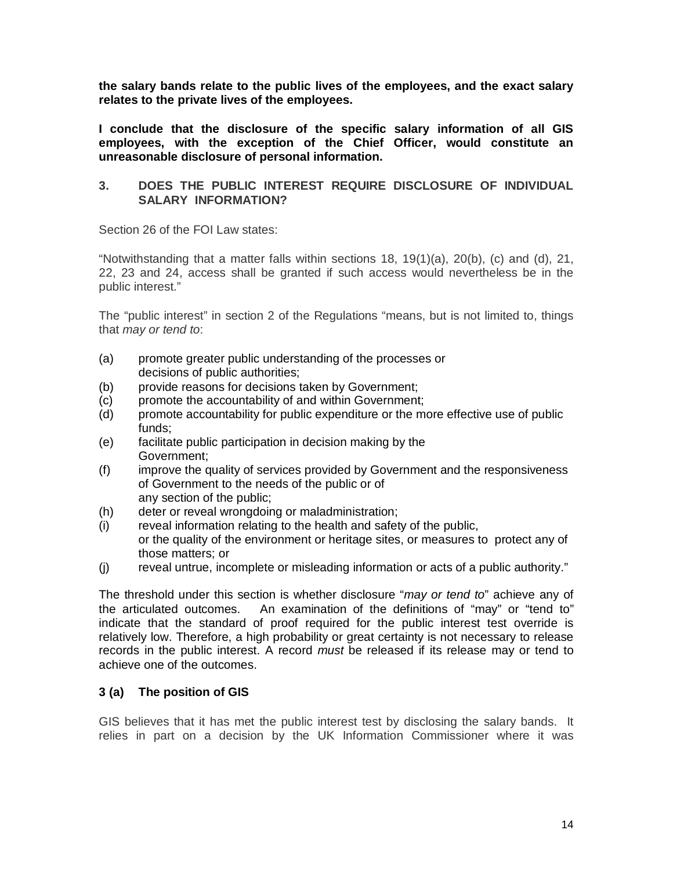**the salary bands relate to the public lives of the employees, and the exact salary relates to the private lives of the employees.** 

**I conclude that the disclosure of the specific salary information of all GIS employees, with the exception of the Chief Officer, would constitute an unreasonable disclosure of personal information.**

#### **3. DOES THE PUBLIC INTEREST REQUIRE DISCLOSURE OF INDIVIDUAL SALARY INFORMATION?**

Section 26 of the FOI Law states:

"Notwithstanding that a matter falls within sections 18, 19(1)(a), 20(b), (c) and (d), 21, 22, 23 and 24, access shall be granted if such access would nevertheless be in the public interest."

The "public interest" in section 2 of the Regulations "means, but is not limited to, things that *may or tend to*:

- (a) promote greater public understanding of the processes or decisions of public authorities;
- (b) provide reasons for decisions taken by Government;
- (c) promote the accountability of and within Government;
- (d) promote accountability for public expenditure or the more effective use of public funds;
- (e) facilitate public participation in decision making by the Government;
- (f) improve the quality of services provided by Government and the responsiveness of Government to the needs of the public or of any section of the public;
- (h) deter or reveal wrongdoing or maladministration;
- (i) reveal information relating to the health and safety of the public, or the quality of the environment or heritage sites, or measures to protect any of those matters; or
- (j) reveal untrue, incomplete or misleading information or acts of a public authority."

The threshold under this section is whether disclosure "*may or tend to*" achieve any of the articulated outcomes. An examination of the definitions of "may" or "tend to" indicate that the standard of proof required for the public interest test override is relatively low. Therefore, a high probability or great certainty is not necessary to release records in the public interest. A record *must* be released if its release may or tend to achieve one of the outcomes.

#### **3 (a) The position of GIS**

GIS believes that it has met the public interest test by disclosing the salary bands. It relies in part on a decision by the UK Information Commissioner where it was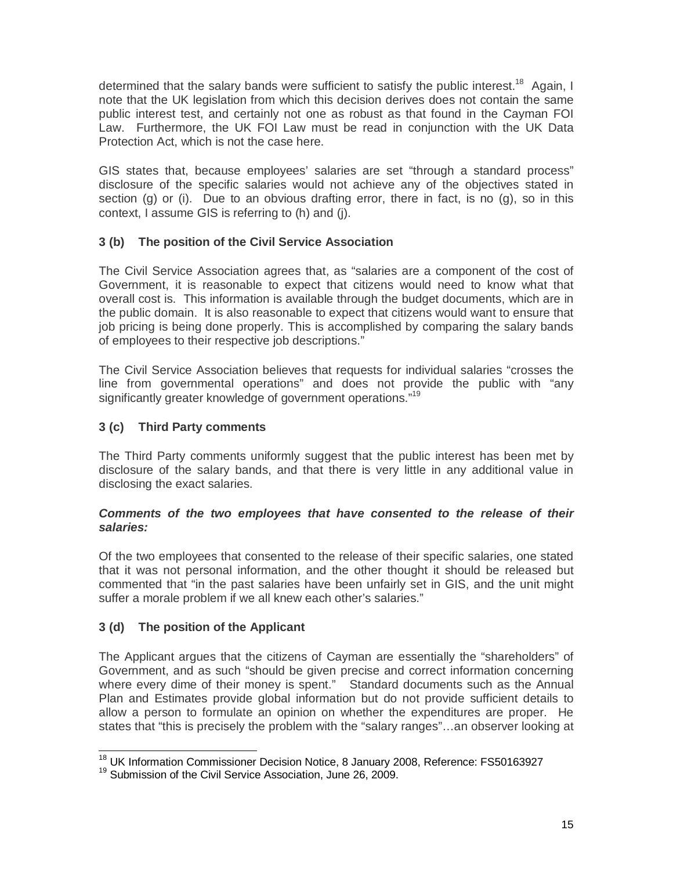determined that the salary bands were sufficient to satisfy the public interest.<sup>18</sup> Again, I note that the UK legislation from which this decision derives does not contain the same public interest test, and certainly not one as robust as that found in the Cayman FOI Law. Furthermore, the UK FOI Law must be read in conjunction with the UK Data Protection Act, which is not the case here.

GIS states that, because employees' salaries are set "through a standard process" disclosure of the specific salaries would not achieve any of the objectives stated in section (g) or (i). Due to an obvious drafting error, there in fact, is no (g), so in this context, I assume GIS is referring to (h) and (j).

# **3 (b) The position of the Civil Service Association**

The Civil Service Association agrees that, as "salaries are a component of the cost of Government, it is reasonable to expect that citizens would need to know what that overall cost is. This information is available through the budget documents, which are in the public domain. It is also reasonable to expect that citizens would want to ensure that job pricing is being done properly. This is accomplished by comparing the salary bands of employees to their respective job descriptions."

The Civil Service Association believes that requests for individual salaries "crosses the line from governmental operations" and does not provide the public with "any significantly greater knowledge of government operations."<sup>19</sup>

### **3 (c) Third Party comments**

The Third Party comments uniformly suggest that the public interest has been met by disclosure of the salary bands, and that there is very little in any additional value in disclosing the exact salaries.

#### *Comments of the two employees that have consented to the release of their salaries:*

Of the two employees that consented to the release of their specific salaries, one stated that it was not personal information, and the other thought it should be released but commented that "in the past salaries have been unfairly set in GIS, and the unit might suffer a morale problem if we all knew each other's salaries."

### **3 (d) The position of the Applicant**

The Applicant argues that the citizens of Cayman are essentially the "shareholders" of Government, and as such "should be given precise and correct information concerning where every dime of their money is spent." Standard documents such as the Annual Plan and Estimates provide global information but do not provide sufficient details to allow a person to formulate an opinion on whether the expenditures are proper. He states that "this is precisely the problem with the "salary ranges"…an observer looking at

 $\overline{a}$  $^{18}_{12}$  UK Information Commissioner Decision Notice, 8 January 2008, Reference: FS50163927

<sup>&</sup>lt;sup>19</sup> Submission of the Civil Service Association, June 26, 2009.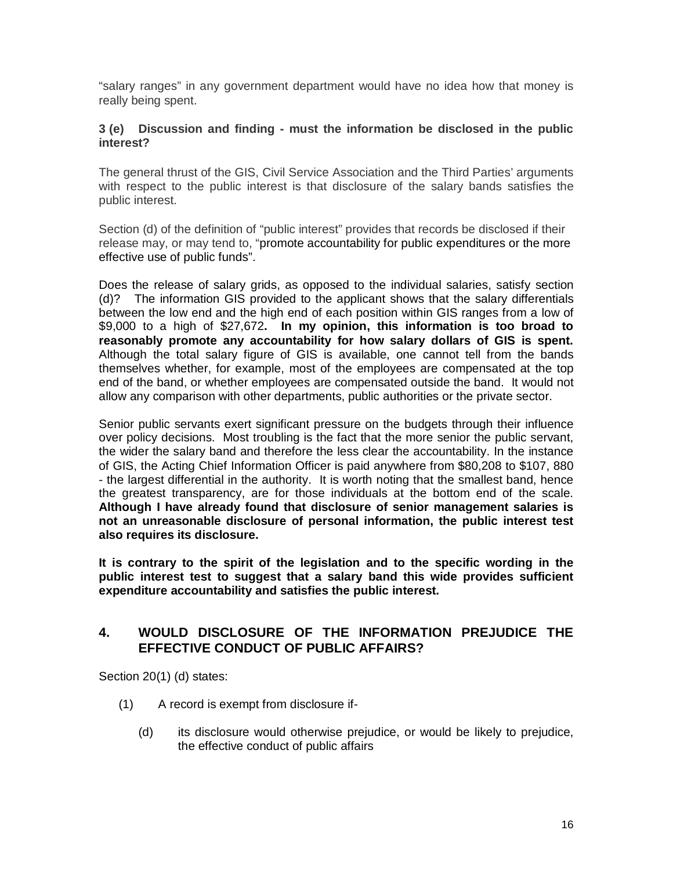"salary ranges" in any government department would have no idea how that money is really being spent.

#### **3 (e) Discussion and finding - must the information be disclosed in the public interest?**

The general thrust of the GIS, Civil Service Association and the Third Parties' arguments with respect to the public interest is that disclosure of the salary bands satisfies the public interest.

Section (d) of the definition of "public interest" provides that records be disclosed if their release may, or may tend to, "promote accountability for public expenditures or the more effective use of public funds".

Does the release of salary grids, as opposed to the individual salaries, satisfy section (d)? The information GIS provided to the applicant shows that the salary differentials between the low end and the high end of each position within GIS ranges from a low of \$9,000 to a high of \$27,672**. In my opinion, this information is too broad to reasonably promote any accountability for how salary dollars of GIS is spent.**  Although the total salary figure of GIS is available, one cannot tell from the bands themselves whether, for example, most of the employees are compensated at the top end of the band, or whether employees are compensated outside the band. It would not allow any comparison with other departments, public authorities or the private sector.

Senior public servants exert significant pressure on the budgets through their influence over policy decisions. Most troubling is the fact that the more senior the public servant, the wider the salary band and therefore the less clear the accountability. In the instance of GIS, the Acting Chief Information Officer is paid anywhere from \$80,208 to \$107, 880 - the largest differential in the authority. It is worth noting that the smallest band, hence the greatest transparency, are for those individuals at the bottom end of the scale. **Although I have already found that disclosure of senior management salaries is not an unreasonable disclosure of personal information, the public interest test also requires its disclosure.**

**It is contrary to the spirit of the legislation and to the specific wording in the public interest test to suggest that a salary band this wide provides sufficient expenditure accountability and satisfies the public interest.**

### **4. WOULD DISCLOSURE OF THE INFORMATION PREJUDICE THE EFFECTIVE CONDUCT OF PUBLIC AFFAIRS?**

Section 20(1) (d) states:

- (1) A record is exempt from disclosure if-
	- (d) its disclosure would otherwise prejudice, or would be likely to prejudice, the effective conduct of public affairs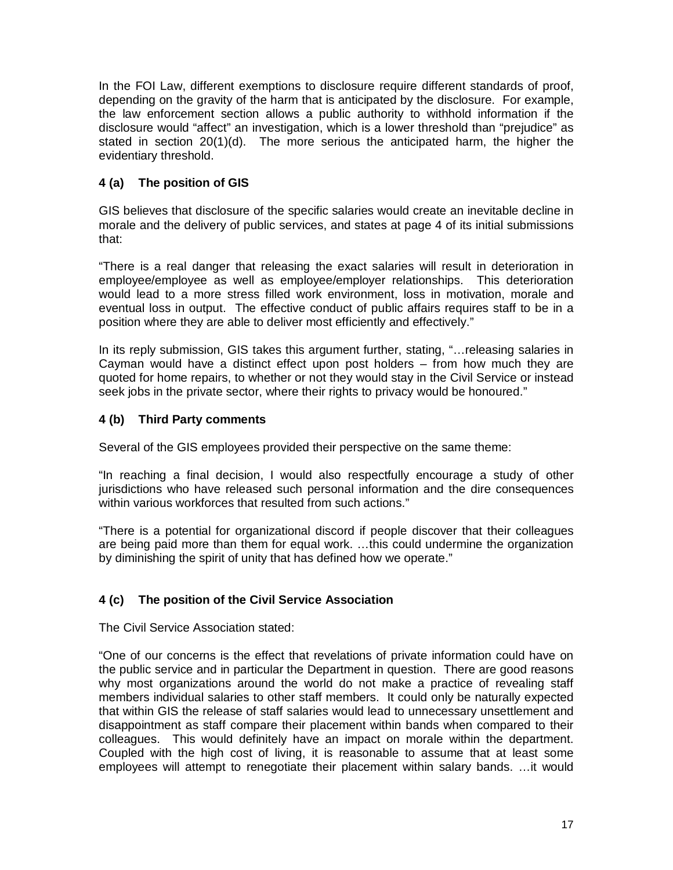In the FOI Law, different exemptions to disclosure require different standards of proof, depending on the gravity of the harm that is anticipated by the disclosure. For example, the law enforcement section allows a public authority to withhold information if the disclosure would "affect" an investigation, which is a lower threshold than "prejudice" as stated in section 20(1)(d). The more serious the anticipated harm, the higher the evidentiary threshold.

# **4 (a) The position of GIS**

GIS believes that disclosure of the specific salaries would create an inevitable decline in morale and the delivery of public services, and states at page 4 of its initial submissions that:

"There is a real danger that releasing the exact salaries will result in deterioration in employee/employee as well as employee/employer relationships. This deterioration would lead to a more stress filled work environment, loss in motivation, morale and eventual loss in output. The effective conduct of public affairs requires staff to be in a position where they are able to deliver most efficiently and effectively."

In its reply submission, GIS takes this argument further, stating, "…releasing salaries in Cayman would have a distinct effect upon post holders – from how much they are quoted for home repairs, to whether or not they would stay in the Civil Service or instead seek jobs in the private sector, where their rights to privacy would be honoured."

### **4 (b) Third Party comments**

Several of the GIS employees provided their perspective on the same theme:

"In reaching a final decision, I would also respectfully encourage a study of other jurisdictions who have released such personal information and the dire consequences within various workforces that resulted from such actions."

"There is a potential for organizational discord if people discover that their colleagues are being paid more than them for equal work. …this could undermine the organization by diminishing the spirit of unity that has defined how we operate."

### **4 (c) The position of the Civil Service Association**

The Civil Service Association stated:

"One of our concerns is the effect that revelations of private information could have on the public service and in particular the Department in question. There are good reasons why most organizations around the world do not make a practice of revealing staff members individual salaries to other staff members. It could only be naturally expected that within GIS the release of staff salaries would lead to unnecessary unsettlement and disappointment as staff compare their placement within bands when compared to their colleagues. This would definitely have an impact on morale within the department. Coupled with the high cost of living, it is reasonable to assume that at least some employees will attempt to renegotiate their placement within salary bands. …it would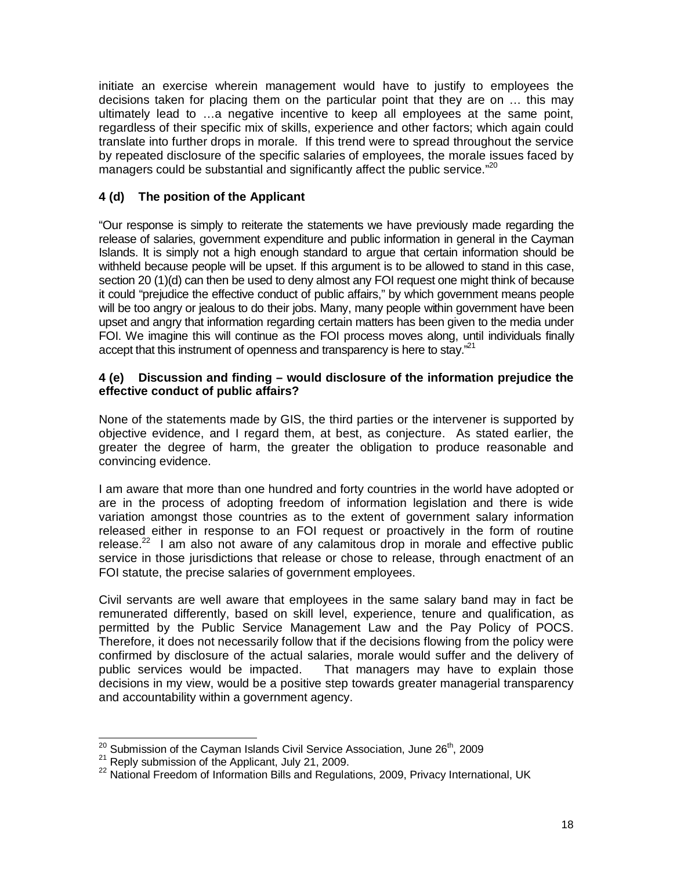initiate an exercise wherein management would have to justify to employees the decisions taken for placing them on the particular point that they are on … this may ultimately lead to …a negative incentive to keep all employees at the same point, regardless of their specific mix of skills, experience and other factors; which again could translate into further drops in morale. If this trend were to spread throughout the service by repeated disclosure of the specific salaries of employees, the morale issues faced by managers could be substantial and significantly affect the public service."<sup>20</sup>

# **4 (d) The position of the Applicant**

"Our response is simply to reiterate the statements we have previously made regarding the release of salaries, government expenditure and public information in general in the Cayman Islands. It is simply not a high enough standard to argue that certain information should be withheld because people will be upset. If this argument is to be allowed to stand in this case, section 20 (1)(d) can then be used to deny almost any FOI request one might think of because it could "prejudice the effective conduct of public affairs," by which government means people will be too angry or jealous to do their jobs. Many, many people within government have been upset and angry that information regarding certain matters has been given to the media under FOI. We imagine this will continue as the FOI process moves along, until individuals finally accept that this instrument of openness and transparency is here to stay."<sup>21</sup>

#### **4 (e) Discussion and finding – would disclosure of the information prejudice the effective conduct of public affairs?**

None of the statements made by GIS, the third parties or the intervener is supported by objective evidence, and I regard them, at best, as conjecture. As stated earlier, the greater the degree of harm, the greater the obligation to produce reasonable and convincing evidence.

I am aware that more than one hundred and forty countries in the world have adopted or are in the process of adopting freedom of information legislation and there is wide variation amongst those countries as to the extent of government salary information released either in response to an FOI request or proactively in the form of routine release. $^{22}$  I am also not aware of any calamitous drop in morale and effective public service in those jurisdictions that release or chose to release, through enactment of an FOI statute, the precise salaries of government employees.

Civil servants are well aware that employees in the same salary band may in fact be remunerated differently, based on skill level, experience, tenure and qualification, as permitted by the Public Service Management Law and the Pay Policy of POCS. Therefore, it does not necessarily follow that if the decisions flowing from the policy were confirmed by disclosure of the actual salaries, morale would suffer and the delivery of public services would be impacted. That managers may have to explain those decisions in my view, would be a positive step towards greater managerial transparency and accountability within a government agency.

 $\overline{a}$  $^{20}$  Submission of the Cayman Islands Civil Service Association, June 26<sup>th</sup>, 2009

 $21$  Reply submission of the Applicant, July 21, 2009.

<sup>&</sup>lt;sup>22</sup> National Freedom of Information Bills and Regulations, 2009, Privacy International, UK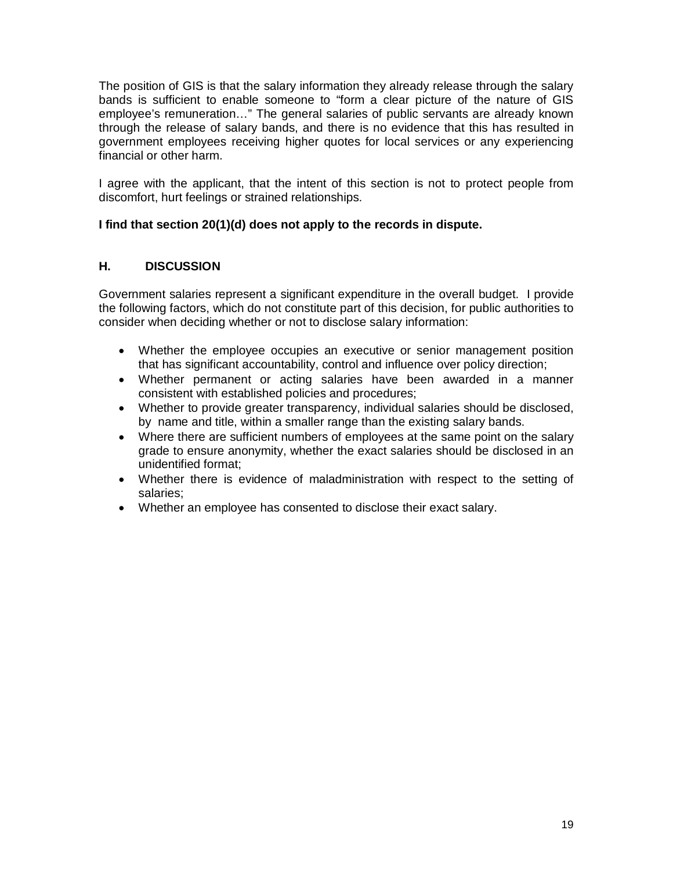The position of GIS is that the salary information they already release through the salary bands is sufficient to enable someone to "form a clear picture of the nature of GIS employee's remuneration…" The general salaries of public servants are already known through the release of salary bands, and there is no evidence that this has resulted in government employees receiving higher quotes for local services or any experiencing financial or other harm.

I agree with the applicant, that the intent of this section is not to protect people from discomfort, hurt feelings or strained relationships.

# **I find that section 20(1)(d) does not apply to the records in dispute.**

# **H. DISCUSSION**

Government salaries represent a significant expenditure in the overall budget. I provide the following factors, which do not constitute part of this decision, for public authorities to consider when deciding whether or not to disclose salary information:

- Whether the employee occupies an executive or senior management position that has significant accountability, control and influence over policy direction;
- Whether permanent or acting salaries have been awarded in a manner consistent with established policies and procedures;
- Whether to provide greater transparency, individual salaries should be disclosed, by name and title, within a smaller range than the existing salary bands.
- Where there are sufficient numbers of employees at the same point on the salary grade to ensure anonymity, whether the exact salaries should be disclosed in an unidentified format;
- Whether there is evidence of maladministration with respect to the setting of salaries;
- Whether an employee has consented to disclose their exact salary.